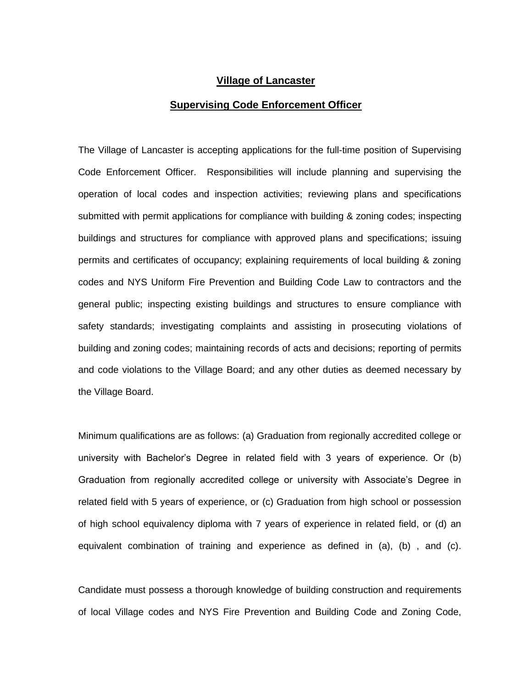## **Village of Lancaster**

## **Supervising Code Enforcement Officer**

The Village of Lancaster is accepting applications for the full-time position of Supervising Code Enforcement Officer. Responsibilities will include planning and supervising the operation of local codes and inspection activities; reviewing plans and specifications submitted with permit applications for compliance with building & zoning codes; inspecting buildings and structures for compliance with approved plans and specifications; issuing permits and certificates of occupancy; explaining requirements of local building & zoning codes and NYS Uniform Fire Prevention and Building Code Law to contractors and the general public; inspecting existing buildings and structures to ensure compliance with safety standards; investigating complaints and assisting in prosecuting violations of building and zoning codes; maintaining records of acts and decisions; reporting of permits and code violations to the Village Board; and any other duties as deemed necessary by the Village Board.

Minimum qualifications are as follows: (a) Graduation from regionally accredited college or university with Bachelor's Degree in related field with 3 years of experience. Or (b) Graduation from regionally accredited college or university with Associate's Degree in related field with 5 years of experience, or (c) Graduation from high school or possession of high school equivalency diploma with 7 years of experience in related field, or (d) an equivalent combination of training and experience as defined in (a), (b) , and (c).

Candidate must possess a thorough knowledge of building construction and requirements of local Village codes and NYS Fire Prevention and Building Code and Zoning Code,